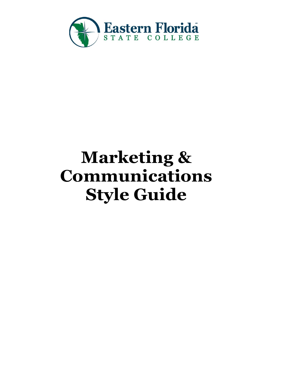

# **Marketing & Communications Style Guide**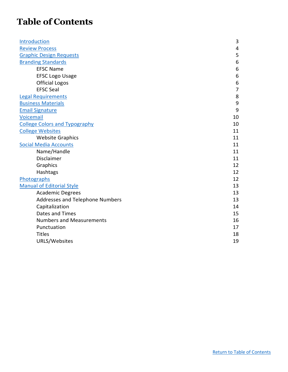## <span id="page-1-0"></span>**Table of Contents**

| Introduction                           | 3              |
|----------------------------------------|----------------|
| <b>Review Process</b>                  | 4              |
| <b>Graphic Design Requests</b>         | 5              |
| <b>Branding Standards</b>              | 6              |
| <b>EFSC Name</b>                       | 6              |
| <b>EFSC Logo Usage</b>                 | 6              |
| <b>Official Logos</b>                  | 6              |
| <b>EFSC Seal</b>                       | $\overline{7}$ |
| <b>Legal Requirements</b>              | 8              |
| <b>Business Materials</b>              | 9              |
| <b>Email Signature</b>                 | 9              |
| Voicemail                              | 10             |
| <b>College Colors and Typography</b>   | 10             |
| <b>College Websites</b>                | 11             |
| <b>Website Graphics</b>                | 11             |
| <b>Social Media Accounts</b>           | 11             |
| Name/Handle                            | 11             |
| <b>Disclaimer</b>                      | 11             |
| Graphics                               | 12             |
| Hashtags                               | 12             |
| Photographs                            | 12             |
| <b>Manual of Editorial Style</b>       | 13             |
| <b>Academic Degrees</b>                | 13             |
| <b>Addresses and Telephone Numbers</b> | 13             |
| Capitalization                         | 14             |
| Dates and Times                        | 15             |
| <b>Numbers and Measurements</b>        | 16             |
| Punctuation                            | 17             |
| <b>Titles</b>                          | 18             |
| URLS/Websites                          | 19             |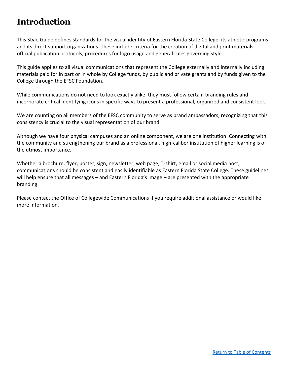## <span id="page-2-0"></span>**Introduction**

This Style Guide defines standards for the visual identity of Eastern Florida State College, its athletic programs and its direct support organizations. These include criteria for the creation of digital and print materials, official publication protocols, procedures for logo usage and general rules governing style.

This guide applies to all visual communications that represent the College externally and internally including materials paid for in part or in whole by College funds, by public and private grants and by funds given to the College through the EFSC Foundation.

While communications do not need to look exactly alike, they must follow certain branding rules and incorporate critical identifying icons in specific ways to present a professional, organized and consistent look.

We are counting on all members of the EFSC community to serve as brand ambassadors, recognizing that this consistency is crucial to the visual representation of our brand.

Although we have four physical campuses and an online component, we are one institution. Connecting with the community and strengthening our brand as a professional, high-caliber institution of higher learning is of the utmost importance.

Whether a brochure, flyer, poster, sign, newsletter, web page, T-shirt, email or social media post, communications should be consistent and easily identifiable as Eastern Florida State College. These guidelines will help ensure that all messages – and Eastern Florida's image – are presented with the appropriate branding.

Please contact the Office of Collegewide Communications if you require additional assistance or would like more information.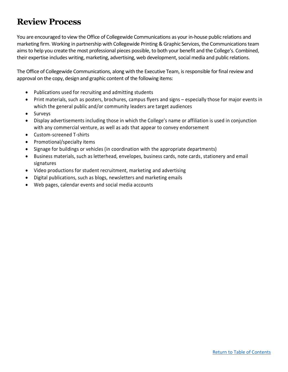## <span id="page-3-0"></span>**Review Process**

You are encouraged to view the Office of Collegewide Communications as your in-house public relations and marketing firm. Working in partnership with Collegewide Printing & Graphic Services, the Communications team aimsto help you create the most professional pieces possible, to both your benefit and the College's. Combined, their expertise includes writing, marketing, advertising, web development, social media and public relations.

The Office of Collegewide Communications, along with the Executive Team, is responsible for final review and approval on the copy, design and graphic content of the following items:

- Publications used for recruiting and admitting students
- Print materials, such as posters, brochures, campus flyers and signs especially those for major events in which the general public and/or community leaders are target audiences
- Surveys
- Display advertisements including those in which the College's name or affiliation is used in conjunction with any commercial venture, as well as ads that appear to convey endorsement
- Custom-screened T-shirts
- Promotional/specialty items
- Signage for buildings or vehicles (in coordination with the appropriate departments)
- Business materials, such as letterhead, envelopes, business cards, note cards, stationery and email signatures
- Video productions for student recruitment, marketing and advertising
- Digital publications, such as blogs, newsletters and marketing emails
- <span id="page-3-1"></span>• Web pages, calendar events and social media accounts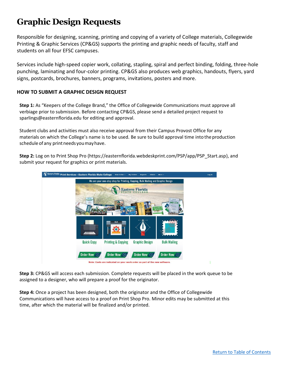## **Graphic Design Requests**

Responsible for designing, scanning, printing and copying of a variety of College materials, Collegewide Printing & Graphic Services (CP&GS) supports the printing and graphic needs of faculty, staff and students on all four EFSC campuses.

Services include high-speed copier work, collating, stapling, spiral and perfect binding, folding, three-hole punching, laminating and four-color printing. CP&GS also produces web graphics, handouts, flyers, yard signs, postcards, brochures, banners, programs, invitations, posters and more.

## **HOW TO SUBMIT A GRAPHIC DESIGN REQUEST**

**Step 1:** As "Keepers of the College Brand," the Office of Collegewide Communications must approve all verbiage prior to submission. Before contacting CP&GS, please send a detailed project request to sparlings@easternflorida.edu for editing and approval.

Student clubs and activities must also receive approval from their Campus Provost Office for any materials on which the College's name is to be used. Be sure to build approval time into the production schedule of any print needs you may have.

**Step 2:** Log on to Print Shop Pro (https://easternflorida.webdeskprint.com/PSP/app/PSP\_Start.asp), and submit your request for graphics or print materials.



**Step 3:** CP&GS will access each submission. Complete requests will be placed in the work queue to be assigned to a designer, who will prepare a proof for the originator.

**Step 4:** Once a project has been designed, both the originator and the Office of Collegewide Communications will have access to a proof on Print Shop Pro. Minor edits may be submitted at this time, after which the material will be finalized and/or printed.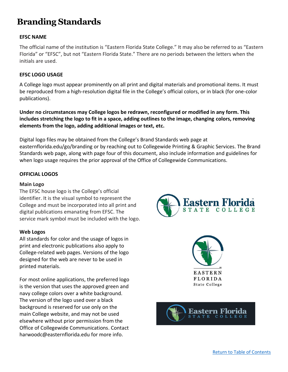## <span id="page-5-0"></span>**Branding Standards**

### **EFSC NAME**

The official name of the institution is "Eastern Florida State College." It may also be referred to as "Eastern Florida" or "EFSC", but not "Eastern Florida State." There are no periods between the letters when the initials are used.

### **EFSC LOGO USAGE**

A College logo must appear prominently on all print and digital materials and promotional items. It must be reproduced from a high-resolution digital file in the College's official colors, or in black (for one-color publications).

**Under no circumstances may College logos be redrawn, reconfigured or modified in any form. This includes stretching the logo to fit in a space, adding outlines to the image, changing colors, removing elements from the logo, adding additional images or text, etc.**

Digital logo files may be obtained from the College's Brand Standards web page at easternflorida.edu/go/branding or by reaching out to Collegewide Printing & Graphic Services. The Brand Standards web page, along with page four of this document, also include information and guidelines for when logo usage requires the prior approval of the Office of Collegewide Communications.

### **OFFICIAL LOGOS**

### **Main Logo**

The EFSC house logo is the College's official identifier. It is the visual symbol to represent the College and must be incorporated into all print and digital publications emanating from EFSC. The service mark symbol must be included with the logo.

### **Web Logos**

All standards for color and the usage of logos in print and electronic publications also apply to College-related web pages. Versions of the logo designed for the web are never to be used in printed materials.

For most online applications, the preferred logo is the version that uses the approved green and navy college colors over a white background. The version of the logo used over a black background is reserved for use only on the main College website, and may not be used elsewhere without prior permission from the Office of Collegewide Communications. Contact harwoodc@easternflorida.edu for more info.





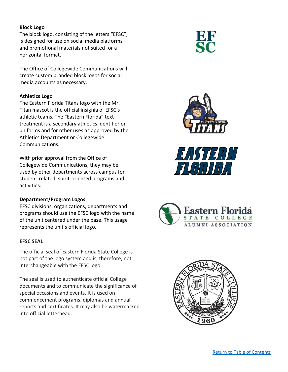### **Block Logo**

The block logo, consisting of the letters "EFSC", is designed for use on social media platforms and promotional materials not suited for a horizontal format.

The Office of Collegewide Communications will create custom branded block logos for social media accounts as necessary.

### **Athletics Logo**

The Eastern Florida Titans logo with the Mr. Titan mascot is the official insignia of EFSC's athletic teams. The "Eastern Florida" text treatment is a secondary athletics identifier on uniforms and for other uses as approved by the Athletics Department or Collegewide Communications.

With prior approval from the Office of Collegewide Communications, they may be used by other departments across campus for student-related, spirit-oriented programs and activities.

### **Department/Program Logos**

EFSC divisions, organizations, departments and programs should use the EFSC logo with the name of the unit centered under the base. This usage represents the unit's official logo.

### **EFSC SEAL**

The official seal of Eastern Florida State College is not part of the logo system and is, therefore, not interchangeable with the EFSC logo.

The seal is used to authenticate official College documents and to communicate the significance of special occasions and events. It is used on commencement programs, diplomas and annual reports and certificates. It may also be watermarked into official letterhead.









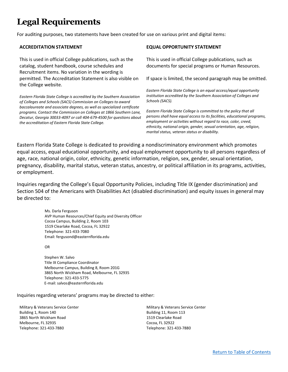## <span id="page-7-0"></span>**Legal Requirements**

For auditing purposes, two statements have been created for use on various print and digital items:

#### **ACCREDITATION STATEMENT**

This is used in official College publications, such as the catalog, student handbook, course schedules and Recruitment items. No variation in the wording is permitted. The Accreditation Statement is also visible on the College website.

*Eastern Florida State College is accredited by the Southern Association of Colleges and Schools (SACS) Commission on Colleges to award baccalaureate and associate degrees, as well as specialized certificate programs. Contact the Commission on Colleges at 1866 Southern Lane, Decatur, Georgia 30033-4097 or call 404-679-4500 for questions about the accreditation of Eastern Florida State College.*

#### **EQUAL OPPORTUNITY STATEMENT**

This is used in official College publications, such as documents for special programs or Human Resources.

If space is limited, the second paragraph may be omitted.

*Eastern Florida State College is an equal access/equal opportunity institution accredited by the Southern Association of Colleges and Schools (SACS).*

*Eastern Florida State College is committed to the policy that all persons shall have equal access to its facilities, educational programs, employment or activities without regard to race, color, creed, ethnicity, national origin, gender, sexual orientation, age, religion, marital status, veteran status or disability.*

Eastern Florida State College is dedicated to providing a nondiscriminatory environment which promotes equal access, equal educational opportunity, and equal employment opportunity to all persons regardless of age, race, national origin, color, ethnicity, genetic information, religion, sex, gender, sexual orientation, pregnancy, disability, marital status, veteran status, ancestry, or political affiliation in its programs, activities, or employment.

Inquiries regarding the College's Equal Opportunity Policies, including Title IX (gender discrimination) and Section 504 of the Americans with Disabilities Act (disabled discrimination) and equity issues in general may be directed to:

> Ms. Darla Ferguson AVP Human Resources/Chief Equity and Diversity Officer Cocoa Campus, Building 2, Room 103 1519 Clearlake Road, Cocoa, FL 32922 Telephone: 321-433-7080 Email: fergusond@easternflorida.edu

OR

Stephen W. Salvo Title IX Compliance Coordinator Melbourne Campus, Building 8, Room 201G 3865 North Wickham Road, Melbourne, FL 32935 Telephone: 321-433-5775 E-mail: salvos@easternflorida.edu

Inquiries regarding veterans' programs may be directed to either:

Military & Veterans Service Center Building 1, Room 140 3865 North Wickham Road Melbourne, FL 32935 Telephone: 321-433-7880

Military & Veterans Service Center Building 11, Room 113 1519 Clearlake Road Cocoa, FL 32922 Telephone: 321-433-7880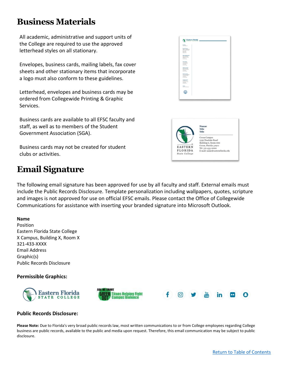## <span id="page-8-0"></span>**Business Materials**

All academic, administrative and support units of the College are required to use the approved letterhead styles on all stationary.

Envelopes, business cards, mailing labels, fax cover sheets and other stationary items that incorporate a logo must also conform to these guidelines.

Letterhead, envelopes and business cards may be ordered from Collegewide Printing & Graphic Services.

Business cards are available to all EFSC faculty and staff, as well as to members of the Student Government Association (SGA).

Business cards may not be created for student clubs or activities.

## <span id="page-8-1"></span>**Email Signature**

The following email signature has been approved for use by all faculty and staff. External emails must include the Public Records Disclosure. Template personalization including wallpapers, quotes, scripture and images is not approved for use on official EFSC emails. Please contact the Office of Collegewide Communications for assistance with inserting your branded signature into Microsoft Outlook.

### **Name**

Position Eastern Florida State College X Campus, Building X, Room X 321-433-XXXX Email Address Graphic(s) Public Records Disclosure

## **Permissible Graphics:**











## **Public Records Disclosure:**

**Please Note:** Due to Florida's very broad public records law, most written communications to or from College employees regarding College business are public records, available to the public and media upon request. Therefore, this email communication may be subject to public disclosure.

 $\boldsymbol{\Omega}$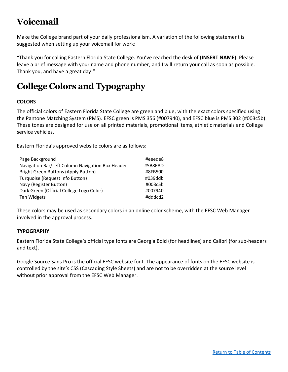## <span id="page-9-0"></span>**Voicemail**

Make the College brand part of your daily professionalism. A variation of the following statement is suggested when setting up your voicemail for work:

"Thank you for calling Eastern Florida State College. You've reached the desk of **(INSERT NAME)**. Please leave a brief message with your name and phone number, and I will return your call as soon as possible. Thank you, and have a great day!"

## <span id="page-9-1"></span>**College Colors and Typography**

## **COLORS**

The official colors of Eastern Florida State College are green and blue, with the exact colors specified using the Pantone Matching System (PMS). EFSC green is PMS 356 (#007940), and EFSC blue is PMS 302 (#003c5b). These tones are designed for use on all printed materials, promotional items, athletic materials and College service vehicles.

Eastern Florida's approved website colors are as follows:

| Page Background                                  | #eeede8 |
|--------------------------------------------------|---------|
| Navigation Bar/Left Column Navigation Box Header | #5B8EAD |
| Bright Green Buttons (Apply Button)              | #8FB500 |
| Turquoise (Request Info Button)                  | #039ddb |
| Navy (Register Button)                           | #003c5b |
| Dark Green (Official College Logo Color)         | #007940 |
| Tan Widgets                                      | #dddcd2 |

These colors may be used as secondary colors in an online color scheme, with the EFSC Web Manager involved in the approval process.

## **TYPOGRAPHY**

Eastern Florida State College's official type fonts are Georgia Bold (for headlines) and Calibri (for sub-headers and text).

Google Source Sans Pro is the official EFSC website font. The appearance of fonts on the EFSC website is controlled by the site's CSS (Cascading Style Sheets) and are not to be overridden at the source level without prior approval from the EFSC Web Manager.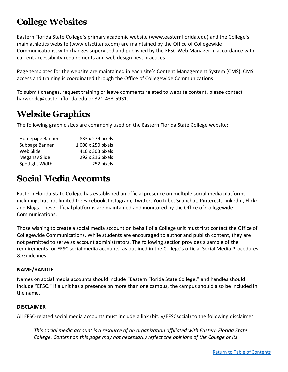## <span id="page-10-0"></span>**College Websites**

Eastern Florida State College's primary academic website (www.easternflorida.edu) and the College's main athletics website (www.efsctitans.com) are maintained by the Office of Collegewide Communications, with changes supervised and published by the EFSC Web Manager in accordance with current accessibility requirements and web design best practices.

Page templates for the website are maintained in each site's Content Management System (CMS). CMS access and training is coordinated through the Office of Collegewide Communications.

To submit changes, request training or leave comments related to website content, please contact harwoodc@easternflorida.edu or 321-433-5931.

## **Website Graphics**

The following graphic sizes are commonly used on the Eastern Florida State College website:

| Homepage Banner | 833 x 279 pixels   |
|-----------------|--------------------|
| Subpage Banner  | 1,000 x 250 pixels |
| Web Slide       | 410 x 303 pixels   |
| Meganav Slide   | 292 x 216 pixels   |
| Spotlight Width | 252 pixels         |

## <span id="page-10-1"></span>**Social Media Accounts**

Eastern Florida State College has established an official presence on multiple social media platforms including, but not limited to: Facebook, Instagram, Twitter, YouTube, Snapchat, Pinterest, LinkedIn, Flickr and Blogs. These official platforms are maintained and monitored by the Office of Collegewide Communications.

Those wishing to create a social media account on behalf of a College unit must first contact the Office of Collegewide Communications. While students are encouraged to author and publish content, they are not permitted to serve as account administrators. The following section provides a sample of the requirements for EFSC social media accounts, as outlined in the College's official Social Media Procedures & Guidelines.

## **NAME/HANDLE**

Names on social media accounts should include "Eastern Florida State College," and handles should include "EFSC." If a unit has a presence on more than one campus, the campus should also be included in the name.

## **DISCLAIMER**

All EFSC-related social media accounts must include a link (bit.ly/EFSCsocial) to the following disclaimer:

*This social media account is a resource of an organization affiliated with Eastern Florida State College. Content on this page may not necessarily reflect the opinions of the College or its*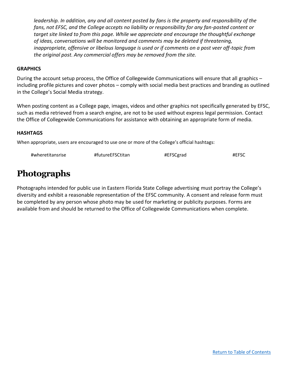*leadership. In addition, any and all content posted by fans is the property and responsibility of the fans, not EFSC, and the College accepts no liability or responsibility for any fan-posted content or target site linked to from this page. While we appreciate and encourage the thoughtful exchange of ideas, conversations will be monitored and comments may be deleted if threatening, inappropriate, offensive or libelous language is used or if comments on a post veer off-topic from the original post. Any commercial offers may be removed from the site.*

## **GRAPHICS**

During the account setup process, the Office of Collegewide Communications will ensure that all graphics – including profile pictures and cover photos – comply with social media best practices and branding as outlined in the College's Social Media strategy.

When posting content as a College page, images, videos and other graphics not specifically generated by EFSC, such as media retrieved from a search engine, are not to be used without express legal permission. Contact the Office of Collegewide Communications for assistance with obtaining an appropriate form of media.

### **HASHTAGS**

When appropriate, users are encouraged to use one or more of the College's official hashtags:

| #wheretitansrise | #futureEFSCtitan | #EFSCgrad | #EFSC |
|------------------|------------------|-----------|-------|
|                  |                  |           |       |

## <span id="page-11-0"></span>**Photographs**

Photographs intended for public use in Eastern Florida State College advertising must portray the College's diversity and exhibit a reasonable representation of the EFSC community. A consent and release form must be completed by any person whose photo may be used for marketing or publicity purposes. Forms are available from and should be returned to the Office of Collegewide Communications when complete.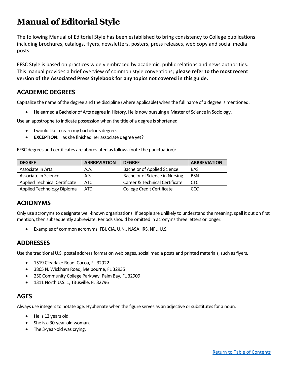## <span id="page-12-0"></span>**Manual of Editorial Style**

The following Manual of Editorial Style has been established to bring consistency to College publications including brochures, catalogs, flyers, newsletters, posters, press releases, web copy and social media posts.

EFSC Style is based on practices widely embraced by academic, public relations and news authorities. This manual provides a brief overview of common style conventions; **please refer to the most recent version of the Associated Press Stylebook for any topics not covered in this guide.**

## **ACADEMIC DEGREES**

Capitalize the name of the degree and the discipline (where applicable) when the full name of a degree is mentioned.

• He earned a Bachelor of Arts degree in History. He is now pursuing a Master of Science in Sociology.

Use an apostrophe to indicate possession when the title of a degree is shortened.

- I would like to earn my bachelor's degree.
- **EXCEPTION:** Has she finished her associate degree yet?

EFSC degrees and certificates are abbreviated as follows(note the punctuation):

| <b>DEGREE</b>                        | <b>ABBREVIATION</b> | <b>DEGREE</b>                             | <b>ABBREVIATION</b> |
|--------------------------------------|---------------------|-------------------------------------------|---------------------|
| Associate in Arts                    | A.A.                | <b>Bachelor of Applied Science</b>        | <b>BAS</b>          |
| Associate in Science                 | A.S.                | Bachelor of Science in Nursing            | <b>BSN</b>          |
| <b>Applied Technical Certificate</b> | <b>ATC</b>          | <b>Career &amp; Technical Certificate</b> | <b>CTC</b>          |
| Applied Technology Diploma           | ATD                 | <b>College Credit Certificate</b>         | CCC                 |

## **ACRONYMS**

Only use acronymsto designate well-known organizations. If people are unlikely to understand the meaning, spell it out on first mention, then subsequently abbreviate. Periods should be omitted in acronymsthree letters or longer.

• Examples of common acronyms: FBI, CIA, U.N., NASA, IRS, NFL, U.S.

## **ADDRESSES**

Use the traditional U.S. postal address format on web pages, social media posts and printed materials, such as flyers.

- 1519 Clearlake Road, Cocoa, FL 32922
- 3865 N. Wickham Road, Melbourne, FL 32935
- 250 Community College Parkway, Palm Bay, FL 32909
- 1311 North U.S. 1, Titusville, FL 32796

## **AGES**

Always use integers to notate age. Hyphenate when the figure serves as an adjective or substitutes for a noun.

- He is 12 years old.
- She is a 30-year-old woman.
- The 3-year-old was crying.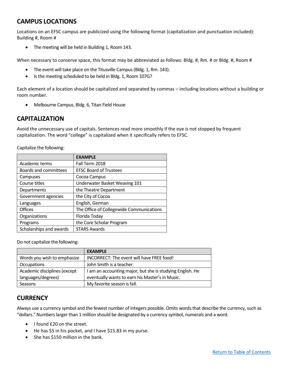## **CAMPUS LOCATIONS**

Locations on an EFSC campus are publicized using the following format (capitalization and punctuation included): Building #, Room #

• The meeting will be held in Building 1, Room 143.

When necessary to conserve space, this format may be abbreviated as follows: Bldg. #, Rm. # or Bldg. #, Room #

- The event will take place on the Titusville Campus (Bldg. 1, Rm. 143).
- Is the meeting scheduled to be held in Bldg. 1, Room 107G?

Each element of a location should be capitalized and separated by commas – including locations without a building or room number.

• Melbourne Campus, Bldg. 6, Titan Field House

## **CAPITALIZATION**

Avoid the unnecessary use of capitals. Sentences read more smoothly if the eye is not stopped by frequent capitalization. The word "college" is capitalized when it specifically refers to EFSC.

Capitalize the following:

|                              | <b>EXAMPLE</b>                           |
|------------------------------|------------------------------------------|
| Academic terms               | Fall Term 2018                           |
| <b>Boards and committees</b> | <b>EFSC Board of Trustees</b>            |
| Campuses                     | Cocoa Campus                             |
| Course titles                | Underwater Basket Weaving 101            |
| Departments                  | the Theatre Department                   |
| Government agencies          | the City of Cocoa                        |
| Languages                    | English, German                          |
| <b>Offices</b>               | The Office of Collegewide Communications |
| Organizations                | Florida Today                            |
| Programs                     | the Core Scholar Program                 |
| Scholarships and awards      | <b>STARS Awards</b>                      |

Do not capitalize the following:

|                              | <b>EXAMPLE</b>                                            |
|------------------------------|-----------------------------------------------------------|
| Words you wish to emphasize  | INCORRECT: The event will have FREE food!                 |
| Occupations                  | John Smith is a teacher.                                  |
| Academic disciplines (except | I am an accounting major, but she is studying English. He |
| languages/degrees)           | eventually wants to earn his Master's in Music.           |
| Seasons                      | My favorite season is fall.                               |

## **CURRENCY**

Always use a currency symbol and the fewest number of integers possible. Omits words that describe the currency, such as "dollars." Numbers larger than 1 million should be designated by a currency symbol, numerals and a word.

- I found £20 on the street.
- He has \$5 in his pocket, and I have \$15.83 in my purse.
- She has \$150 million in the bank.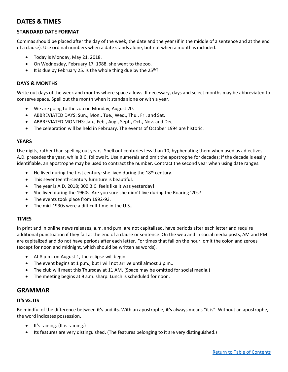## **DATES & TIMES**

## **STANDARD DATE FORMAT**

Commas should be placed after the day of the week, the date and the year (if in the middle of a sentence and at the end of a clause). Use ordinal numbers when a date stands alone, but not when a month is included.

- Today is Monday, May 21, 2018.
- On Wednesday, February 17, 1988, she went to the zoo.
- It is due by February 25. Is the whole thing due by the  $25<sup>th</sup>$ ?

### **DAYS & MONTHS**

Write out days of the week and months where space allows. If necessary, days and select months may be abbreviated to conserve space. Spell out the month when it stands alone or with a year.

- We are going to the zoo on Monday, August 20.
- ABBREVIATED DAYS: Sun., Mon., Tue., Wed., Thu., Fri. and Sat.
- ABBREVIATED MONTHS: Jan., Feb., Aug., Sept., Oct., Nov. and Dec.
- The celebration will be held in February. The events of October 1994 are historic.

### **YEARS**

Use digits, rather than spelling out years. Spell out centuries less than 10, hyphenating them when used as adjectives. A.D. precedes the year, while B.C. follows it. Use numerals and omit the apostrophe for decades; if the decade is easily identifiable, an apostrophe may be used to contract the number. Contract the second year when using date ranges.

- $\bullet$  He lived during the first century; she lived during the 18<sup>th</sup> century.
- This seventeenth-century furniture is beautiful.
- The year is A.D. 2018; 300 B.C. feels like it was yesterday!
- She lived during the 1960s. Are you sure she didn't live during the Roaring '20s?
- The events took place from 1992-93.
- The mid-1930s were a difficult time in the U.S..

### **TIMES**

In print and in online news releases, a.m. and p.m. are not capitalized, have periods after each letter and require additional punctuation if they fall at the end of a clause or sentence. On the web and in social media posts, AM and PM are capitalized and do not have periods after each letter. For times that fall on the hour, omit the colon and zeroes (except for noon and midnight, which should be written as words).

- At 8 p.m. on August 1, the eclipse will begin.
- The event begins at 1 p.m., but I will not arrive until almost 3 p.m..
- The club will meet this Thursday at 11 AM. (Space may be omitted for social media.)
- The meeting begins at 9 a.m. sharp. Lunch is scheduled for noon.

## **GRAMMAR**

### **IT'S VS. ITS**

Be mindful of the difference between **it's** and **its**. With an apostrophe, **it's** always means "it is". Without an apostrophe, the word indicates possession.

- It's raining. (It is raining.)
- Its features are very distinguished. (The features belonging to it are very distinguished.)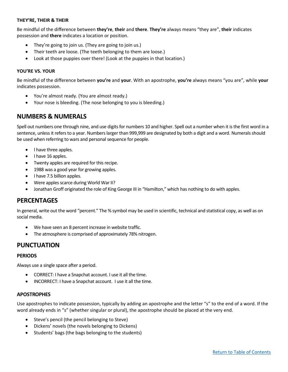### **THEY'RE, THEIR & THEIR**

Be mindful of the difference between **they're**, **their** and **there**. **They're** always means "they are", **their** indicates possession and **there** indicates a location or position.

- They're going to join us. (They are going to join us.)
- Their teeth are loose. (The teeth belonging to them are loose.)
- Look at those puppies over there! (Look at the puppies in that location.)

#### **YOU'RE VS. YOUR**

Be mindful of the difference between **you're** and **your**. With an apostrophe, **you're** always means "you are", while **your** indicates possession.

- You're almost ready. (You are almost ready.)
- Your nose is bleeding. (The nose belonging to you is bleeding.)

## **NUMBERS & NUMERALS**

Spell out numbers one through nine, and use digits for numbers 10 and higher. Spell out a number when it is the first word in a sentence, unless it refers to a year. Numbers larger than 999,999 are designated by both a digit and a word. Numerals should be used when referring to wars and personal sequence for people.

- I have three apples.
- I have 16 apples.
- Twenty apples are required for this recipe.
- 1988 was a good year for growing apples.
- I have 7.5 billion apples.
- Were apples scarce during World War II?
- Jonathan Groff originated the role of King George III in "Hamilton," which has nothing to do with apples.

### **PERCENTAGES**

In general, write out the word "percent." The % symbol may be used in scientific, technical and statistical copy, as well as on social media.

- We have seen an 8 percent increase in website traffic.
- The atmosphere is comprised of approximately 78% nitrogen.

## **PUNCTUATION**

#### **PERIODS**

Always use a single space after a period.

- CORRECT: I have a Snapchat account. I use it all the time.
- INCORRECT: I have a Snapchat account. I use it all the time.

### **APOSTROPHES**

Use apostrophes to indicate possession, typically by adding an apostrophe and the letter "s" to the end of a word. If the word already ends in "s" (whether singular or plural), the apostrophe should be placed at the very end.

- Steve's pencil (the pencil belonging to Steve)
- Dickens' novels (the novels belonging to Dickens)
- Students' bags (the bags belonging to the students)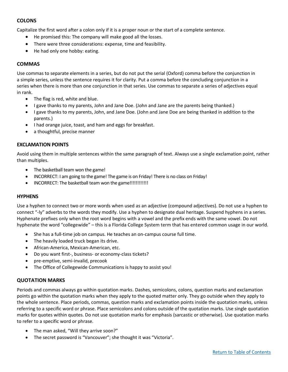### **COLONS**

Capitalize the first word after a colon only if it is a proper noun or the start of a complete sentence.

- He promised this: The company will make good all the losses.
- There were three considerations: expense, time and feasibility.
- He had only one hobby: eating.

### **COMMAS**

Use commas to separate elements in a series, but do not put the serial (Oxford) comma before the conjunction in a simple series, unless the sentence requires it for clarity. Put a comma before the concluding conjunction in a series when there is more than one conjunction in that series. Use commas to separate a series of adjectives equal in rank.

- The flag is red, white and blue.
- I gave thanks to my parents, John and Jane Doe. (John and Jane are the parents being thanked.)
- I gave thanks to my parents, John, and Jane Doe. (John and Jane Doe are being thanked in addition to the parents.)
- I had orange juice, toast, and ham and eggs for breakfast.
- a thoughtful, precise manner

#### **EXCLAMATION POINTS**

Avoid using them in multiple sentences within the same paragraph of text. Always use a single exclamation point, rather than multiples.

- The basketball team won the game!
- INCORRECT: I am going to the game! The game is on Friday! There is no class on Friday!
- INCORRECT: The basketball team won the game!!!!!!!!!!!!!

#### **HYPHENS**

Use a hyphen to connect two or more words when used as an adjective (compound adjectives). Do not use a hyphen to connect "-ly" adverbs to the words they modify. Use a hyphen to designate dual heritage. Suspend hyphens in a series. Hyphenate prefixes only when the root word begins with a vowel and the prefix ends with the same vowel. Do not hyphenate the word "collegewide" – this is a Florida College System term that has entered common usage in our world.

- She has a full-time job on campus. He teaches an on-campus course full time.
- The heavily loaded truck began its drive.
- African-America, Mexican-American, etc.
- Do you want first-, business- or economy-class tickets?
- pre-emptive, semi-invalid, precook
- The Office of Collegewide Communications is happy to assist you!

### **QUOTATION MARKS**

Periods and commas always go within quotation marks. Dashes, semicolons, colons, question marks and exclamation points go within the quotation marks when they apply to the quoted matter only. They go outside when they apply to the whole sentence. Place periods, commas, question marks and exclamation points inside the quotation marks, unless referring to a specific word or phrase. Place semicolons and colons outside of the quotation marks. Use single quotation marks for quotes within quotes. Do not use quotation marks for emphasis (sarcastic or otherwise). Use quotation marks to refer to a specific word or phrase.

- The man asked, "Will they arrive soon?"
- The secret password is "Vancouver"; she thought it was "Victoria".